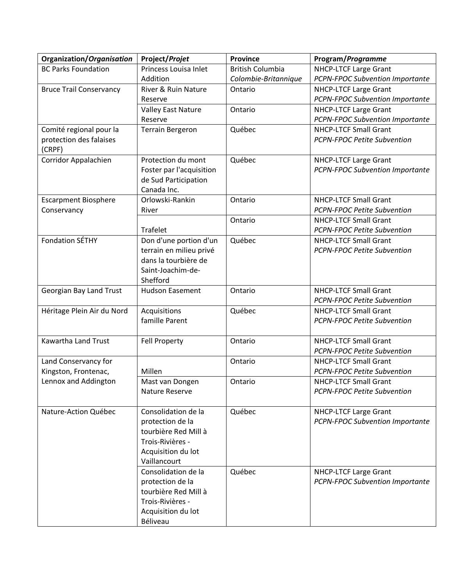| Organization/Organisation                    | Project/Projet                           | <b>Province</b>         | Program/Programme                      |
|----------------------------------------------|------------------------------------------|-------------------------|----------------------------------------|
| <b>BC Parks Foundation</b>                   | Princess Louisa Inlet                    | <b>British Columbia</b> | <b>NHCP-LTCF Large Grant</b>           |
|                                              | Addition                                 | Colombie-Britannique    | <b>PCPN-FPOC Subvention Importante</b> |
| <b>Bruce Trail Conservancy</b>               | River & Ruin Nature                      | Ontario                 | <b>NHCP-LTCF Large Grant</b>           |
|                                              | Reserve                                  |                         | <b>PCPN-FPOC Subvention Importante</b> |
|                                              | <b>Valley East Nature</b>                | Ontario                 | <b>NHCP-LTCF Large Grant</b>           |
|                                              | Reserve                                  |                         | PCPN-FPOC Subvention Importante        |
| Comité regional pour la                      | <b>Terrain Bergeron</b>                  | Québec                  | <b>NHCP-LTCF Small Grant</b>           |
| protection des falaises                      |                                          |                         | <b>PCPN-FPOC Petite Subvention</b>     |
| (CRPF)                                       |                                          |                         |                                        |
| Corridor Appalachien                         | Protection du mont                       | Québec                  | <b>NHCP-LTCF Large Grant</b>           |
|                                              | Foster par l'acquisition                 |                         | <b>PCPN-FPOC Subvention Importante</b> |
|                                              | de Sud Participation                     |                         |                                        |
|                                              | Canada Inc.<br>Orlowski-Rankin           | Ontario                 | <b>NHCP-LTCF Small Grant</b>           |
| <b>Escarpment Biosphere</b>                  |                                          |                         | <b>PCPN-FPOC Petite Subvention</b>     |
| Conservancy                                  | River                                    | Ontario                 | <b>NHCP-LTCF Small Grant</b>           |
|                                              | <b>Trafelet</b>                          |                         | <b>PCPN-FPOC Petite Subvention</b>     |
| <b>Fondation SÉTHY</b>                       | Don d'une portion d'un                   | Québec                  | <b>NHCP-LTCF Small Grant</b>           |
|                                              | terrain en milieu privé                  |                         | <b>PCPN-FPOC Petite Subvention</b>     |
|                                              | dans la tourbière de                     |                         |                                        |
|                                              | Saint-Joachim-de-                        |                         |                                        |
|                                              | Shefford                                 |                         |                                        |
| Georgian Bay Land Trust                      | <b>Hudson Easement</b>                   | Ontario                 | <b>NHCP-LTCF Small Grant</b>           |
|                                              |                                          |                         | <b>PCPN-FPOC Petite Subvention</b>     |
| Héritage Plein Air du Nord                   | Acquisitions                             | Québec                  | <b>NHCP-LTCF Small Grant</b>           |
|                                              | famille Parent                           |                         | <b>PCPN-FPOC Petite Subvention</b>     |
|                                              |                                          |                         |                                        |
| Kawartha Land Trust                          | <b>Fell Property</b>                     | Ontario                 | <b>NHCP-LTCF Small Grant</b>           |
|                                              |                                          |                         | <b>PCPN-FPOC Petite Subvention</b>     |
| Land Conservancy for                         |                                          | Ontario                 | <b>NHCP-LTCF Small Grant</b>           |
| Kingston, Frontenac,<br>Lennox and Addington | Millen                                   |                         | <b>PCPN-FPOC Petite Subvention</b>     |
|                                              | Mast van Dongen                          | Ontario                 | <b>NHCP-LTCF Small Grant</b>           |
|                                              | Nature Reserve                           |                         | <b>PCPN-FPOC Petite Subvention</b>     |
|                                              |                                          |                         |                                        |
| Nature-Action Québec                         | Consolidation de la                      | Québec                  | NHCP-LTCF Large Grant                  |
|                                              | protection de la<br>tourbière Red Mill à |                         | PCPN-FPOC Subvention Importante        |
|                                              | Trois-Rivières -                         |                         |                                        |
|                                              | Acquisition du lot                       |                         |                                        |
|                                              | Vaillancourt                             |                         |                                        |
|                                              | Consolidation de la                      | Québec                  | NHCP-LTCF Large Grant                  |
|                                              | protection de la                         |                         | <b>PCPN-FPOC Subvention Importante</b> |
|                                              | tourbière Red Mill à                     |                         |                                        |
|                                              | Trois-Rivières -                         |                         |                                        |
|                                              | Acquisition du lot                       |                         |                                        |
|                                              | Béliveau                                 |                         |                                        |